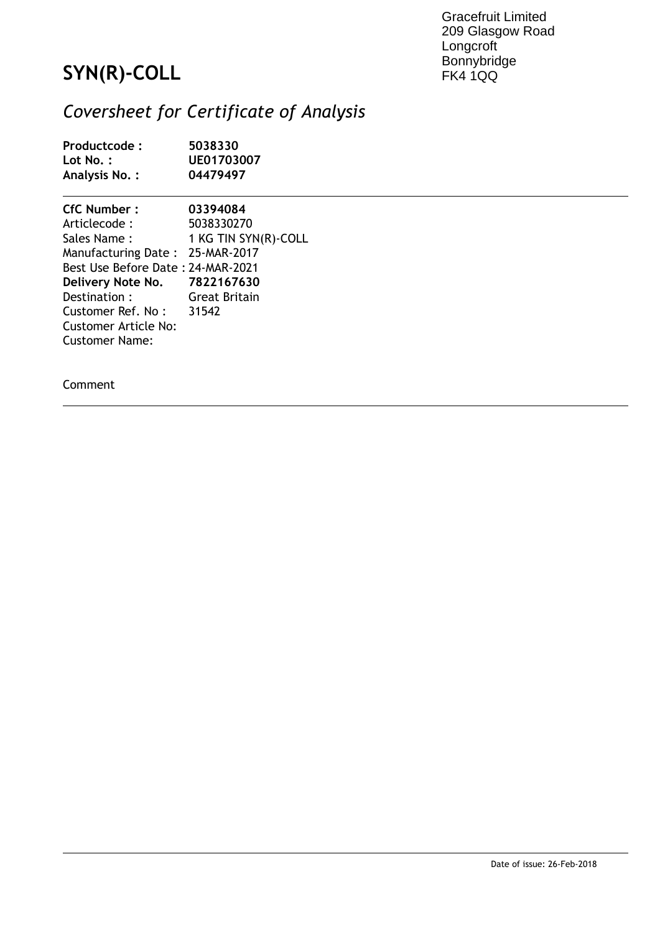Gracefruit Limited 209 Glasgow Road **Longcroft** Bonnybridge FK4 1QQ

## **SYN(R)-COLL**

## *Coversheet for Certificate of Analysis*

| Productcode:<br>Lot No.:<br>Analysis No.:                                                                                                                                                   | 5038330<br>UE01703007<br>04479497                                        |
|---------------------------------------------------------------------------------------------------------------------------------------------------------------------------------------------|--------------------------------------------------------------------------|
| CfC Number:<br>Articlecode :<br>Sales Name :<br>Manufacturing Date: 25-MAR-2017<br>Best Use Before Date : 24-MAR-2021<br>Delivery Note No. 7822167630<br>Destination:<br>Customer Ref. No : | 03394084<br>5038330270<br>1 KG TIN SYN(R)-COLL<br>Great Britain<br>31542 |
| Customer Article No:<br><b>Customer Name:</b>                                                                                                                                               |                                                                          |

Comment